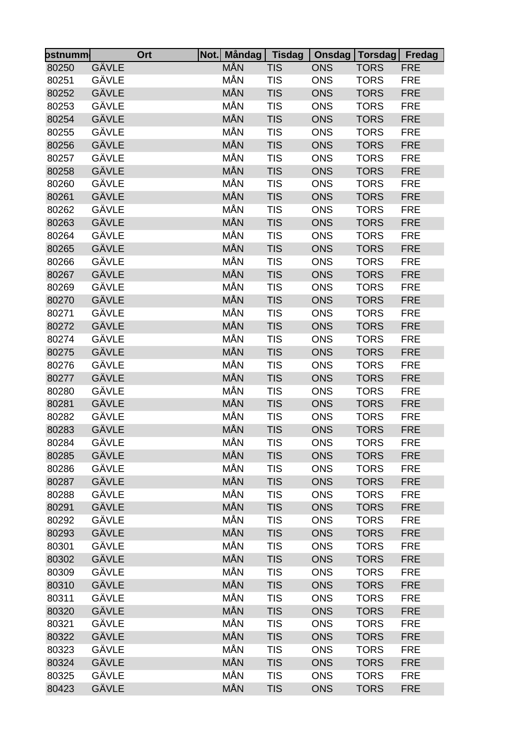| ostnumm∣ | Ort   | Not. Måndag Tisdag |            |            | Onsdag   Torsdag   Fredag  |            |
|----------|-------|--------------------|------------|------------|----------------------------|------------|
| 80250    | GÄVLE | <b>MÅN</b>         | <b>TIS</b> | <b>ONS</b> | <b>TORS</b>                | <b>FRE</b> |
| 80251    | GÄVLE | MÅN                | <b>TIS</b> | <b>ONS</b> | <b>TORS</b>                | <b>FRE</b> |
| 80252    | GÄVLE | MÅN                | <b>TIS</b> | <b>ONS</b> | <b>TORS</b>                | <b>FRE</b> |
| 80253    | GÄVLE | MÅN                | <b>TIS</b> | <b>ONS</b> | <b>TORS</b>                | <b>FRE</b> |
| 80254    | GÄVLE | MÅN                | <b>TIS</b> | <b>ONS</b> | <b>TORS</b>                | <b>FRE</b> |
| 80255    | GÄVLE | MÅN                | <b>TIS</b> | <b>ONS</b> | <b>TORS</b>                | <b>FRE</b> |
| 80256    | GÄVLE | MÅN                | <b>TIS</b> | <b>ONS</b> | <b>TORS</b>                | <b>FRE</b> |
| 80257    | GÄVLE | MÅN                | <b>TIS</b> | <b>ONS</b> | <b>TORS</b>                | <b>FRE</b> |
| 80258    | GÄVLE | MÅN                | <b>TIS</b> | <b>ONS</b> | <b>TORS</b>                | <b>FRE</b> |
| 80260    | GÄVLE | MÅN                | <b>TIS</b> | <b>ONS</b> | <b>TORS</b>                | <b>FRE</b> |
| 80261    | GÄVLE | MÅN                | <b>TIS</b> | <b>ONS</b> | <b>TORS</b>                | <b>FRE</b> |
| 80262    | GÄVLE | MÅN                | <b>TIS</b> | <b>ONS</b> | <b>TORS</b>                | <b>FRE</b> |
| 80263    | GÄVLE | MÅN                | <b>TIS</b> | <b>ONS</b> | <b>TORS</b>                | <b>FRE</b> |
| 80264    | GÄVLE | MÅN                | <b>TIS</b> | <b>ONS</b> | <b>TORS</b>                | <b>FRE</b> |
| 80265    | GÄVLE | MÅN                | <b>TIS</b> | <b>ONS</b> | <b>TORS</b>                | <b>FRE</b> |
| 80266    | GÄVLE | MÅN                | <b>TIS</b> | <b>ONS</b> | <b>TORS</b>                | <b>FRE</b> |
| 80267    | GÄVLE | MÅN                | <b>TIS</b> | <b>ONS</b> | <b>TORS</b>                | <b>FRE</b> |
| 80269    | GÄVLE | MÅN                | <b>TIS</b> | <b>ONS</b> | <b>TORS</b>                | <b>FRE</b> |
| 80270    | GÄVLE | MÅN                | <b>TIS</b> | <b>ONS</b> | <b>TORS</b>                | <b>FRE</b> |
| 80271    | GÄVLE | MÅN                | <b>TIS</b> | <b>ONS</b> | <b>TORS</b>                | <b>FRE</b> |
| 80272    | GÄVLE | MÅN                | <b>TIS</b> | <b>ONS</b> | <b>TORS</b>                | <b>FRE</b> |
| 80274    | GÄVLE | MÅN                | <b>TIS</b> | <b>ONS</b> | <b>TORS</b>                | <b>FRE</b> |
| 80275    | GÄVLE | MÅN                | <b>TIS</b> | <b>ONS</b> | <b>TORS</b>                | <b>FRE</b> |
| 80276    | GÄVLE | MÅN                | <b>TIS</b> | <b>ONS</b> | <b>TORS</b>                | <b>FRE</b> |
| 80277    | GÄVLE | MÅN                | <b>TIS</b> | <b>ONS</b> | <b>TORS</b>                | <b>FRE</b> |
| 80280    | GÄVLE | MÅN                | <b>TIS</b> | <b>ONS</b> | <b>TORS</b>                | <b>FRE</b> |
|          | GÄVLE | MÅN                | <b>TIS</b> |            |                            |            |
| 80281    | GÄVLE | MÅN                | <b>TIS</b> | <b>ONS</b> | <b>TORS</b>                | <b>FRE</b> |
| 80282    | GÄVLE | <b>MÅN</b>         |            | <b>ONS</b> | <b>TORS</b><br><b>TORS</b> | <b>FRE</b> |
| 80283    | GÄVLE | MÅN                | <b>TIS</b> | <b>ONS</b> |                            | <b>FRE</b> |
| 80284    |       | MÅN                | <b>TIS</b> | <b>ONS</b> | <b>TORS</b>                | <b>FRE</b> |
| 80285    | GÄVLE |                    | <b>TIS</b> | <b>ONS</b> | <b>TORS</b>                | <b>FRE</b> |
| 80286    | GÄVLE | MÅN                | <b>TIS</b> | <b>ONS</b> | <b>TORS</b>                | <b>FRE</b> |
| 80287    | GÄVLE | MÅN                | <b>TIS</b> | <b>ONS</b> | <b>TORS</b>                | <b>FRE</b> |
| 80288    | GÄVLE | MÅN                | <b>TIS</b> | <b>ONS</b> | <b>TORS</b>                | <b>FRE</b> |
| 80291    | GÄVLE | MÅN                | <b>TIS</b> | <b>ONS</b> | <b>TORS</b>                | <b>FRE</b> |
| 80292    | GÄVLE | MÅN                | <b>TIS</b> | <b>ONS</b> | <b>TORS</b>                | <b>FRE</b> |
| 80293    | GÄVLE | MÅN                | <b>TIS</b> | <b>ONS</b> | <b>TORS</b>                | <b>FRE</b> |
| 80301    | GÄVLE | MÅN                | <b>TIS</b> | <b>ONS</b> | <b>TORS</b>                | <b>FRE</b> |
| 80302    | GÄVLE | MÅN                | <b>TIS</b> | <b>ONS</b> | <b>TORS</b>                | <b>FRE</b> |
| 80309    | GÄVLE | MÅN                | <b>TIS</b> | <b>ONS</b> | <b>TORS</b>                | <b>FRE</b> |
| 80310    | GÄVLE | MÅN                | <b>TIS</b> | <b>ONS</b> | <b>TORS</b>                | <b>FRE</b> |
| 80311    | GÄVLE | MÅN                | <b>TIS</b> | <b>ONS</b> | <b>TORS</b>                | <b>FRE</b> |
| 80320    | GÄVLE | MÅN                | <b>TIS</b> | <b>ONS</b> | <b>TORS</b>                | <b>FRE</b> |
| 80321    | GÄVLE | MÅN                | <b>TIS</b> | <b>ONS</b> | <b>TORS</b>                | <b>FRE</b> |
| 80322    | GÄVLE | MÅN                | <b>TIS</b> | <b>ONS</b> | <b>TORS</b>                | <b>FRE</b> |
| 80323    | GÄVLE | MÅN                | <b>TIS</b> | <b>ONS</b> | <b>TORS</b>                | <b>FRE</b> |
| 80324    | GÄVLE | MÅN                | <b>TIS</b> | <b>ONS</b> | <b>TORS</b>                | <b>FRE</b> |
| 80325    | GÄVLE | MÅN                | <b>TIS</b> | <b>ONS</b> | <b>TORS</b>                | <b>FRE</b> |
| 80423    | GÄVLE | MÅN                | <b>TIS</b> | <b>ONS</b> | <b>TORS</b>                | <b>FRE</b> |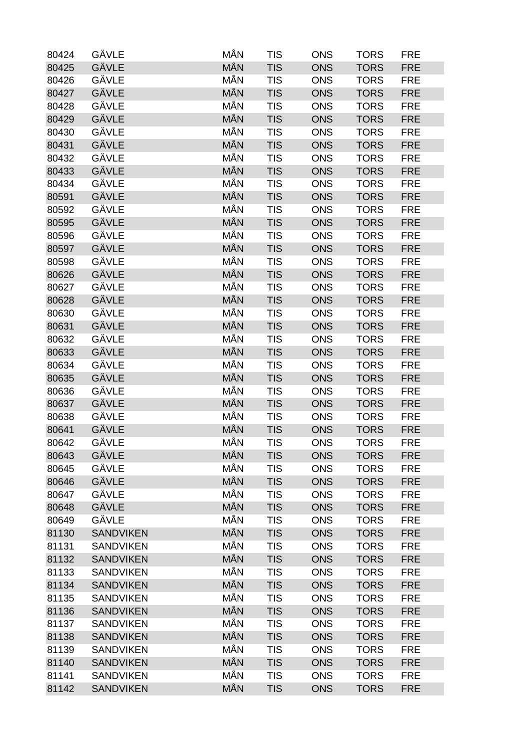| 80424 | GÄVLE            | MÅN        | <b>TIS</b> | <b>ONS</b> | <b>TORS</b> | <b>FRE</b> |
|-------|------------------|------------|------------|------------|-------------|------------|
| 80425 | GÄVLE            | <b>MÅN</b> | <b>TIS</b> | <b>ONS</b> | <b>TORS</b> | <b>FRE</b> |
| 80426 | GÄVLE            | MÅN        | <b>TIS</b> | <b>ONS</b> | <b>TORS</b> | <b>FRE</b> |
| 80427 | GÄVLE            | <b>MÅN</b> | <b>TIS</b> | <b>ONS</b> | <b>TORS</b> | <b>FRE</b> |
| 80428 | GÄVLE            | MÅN        | <b>TIS</b> | <b>ONS</b> | <b>TORS</b> | <b>FRE</b> |
| 80429 | GÄVLE            | MÅN        | <b>TIS</b> | <b>ONS</b> | <b>TORS</b> | <b>FRE</b> |
| 80430 | GÄVLE            | MÅN        | <b>TIS</b> | <b>ONS</b> | <b>TORS</b> | <b>FRE</b> |
| 80431 | GÄVLE            | <b>MÅN</b> | <b>TIS</b> | <b>ONS</b> | <b>TORS</b> | <b>FRE</b> |
| 80432 | GÄVLE            | MÅN        | <b>TIS</b> | <b>ONS</b> | <b>TORS</b> | <b>FRE</b> |
| 80433 | GÄVLE            | <b>MÅN</b> | <b>TIS</b> | <b>ONS</b> | <b>TORS</b> | <b>FRE</b> |
| 80434 | GÄVLE            | MÅN        | <b>TIS</b> | <b>ONS</b> | <b>TORS</b> | <b>FRE</b> |
| 80591 | GÄVLE            | <b>MÅN</b> | <b>TIS</b> | <b>ONS</b> | <b>TORS</b> | <b>FRE</b> |
| 80592 | GÄVLE            | MÅN        | <b>TIS</b> | <b>ONS</b> | <b>TORS</b> | <b>FRE</b> |
| 80595 | GÄVLE            | <b>MÅN</b> | <b>TIS</b> | <b>ONS</b> | <b>TORS</b> | <b>FRE</b> |
| 80596 | GÄVLE            | MÅN        | <b>TIS</b> | <b>ONS</b> | <b>TORS</b> | <b>FRE</b> |
| 80597 | <b>GÄVLE</b>     | MÅN        | <b>TIS</b> | <b>ONS</b> | <b>TORS</b> | <b>FRE</b> |
| 80598 | GÄVLE            | MÅN        | <b>TIS</b> | <b>ONS</b> | <b>TORS</b> | <b>FRE</b> |
| 80626 | <b>GÄVLE</b>     | <b>MÅN</b> | <b>TIS</b> | <b>ONS</b> | <b>TORS</b> | <b>FRE</b> |
| 80627 | GÄVLE            | <b>MÅN</b> | <b>TIS</b> | <b>ONS</b> | <b>TORS</b> | <b>FRE</b> |
| 80628 | GÄVLE            | MÅN        | <b>TIS</b> | <b>ONS</b> | <b>TORS</b> | <b>FRE</b> |
| 80630 | GÄVLE            | MÅN        | <b>TIS</b> | <b>ONS</b> | <b>TORS</b> | <b>FRE</b> |
| 80631 | GÄVLE            | <b>MÅN</b> | <b>TIS</b> | <b>ONS</b> | <b>TORS</b> | <b>FRE</b> |
| 80632 | GÄVLE            | MÅN        | <b>TIS</b> | <b>ONS</b> | <b>TORS</b> | <b>FRE</b> |
| 80633 | GÄVLE            | <b>MÅN</b> | <b>TIS</b> | <b>ONS</b> | <b>TORS</b> | <b>FRE</b> |
| 80634 | GÄVLE            | MÅN        | <b>TIS</b> | <b>ONS</b> | <b>TORS</b> | <b>FRE</b> |
| 80635 | GÄVLE            | MÅN        | <b>TIS</b> | <b>ONS</b> | <b>TORS</b> | <b>FRE</b> |
| 80636 | GÄVLE            | MÅN        | <b>TIS</b> | <b>ONS</b> | <b>TORS</b> | <b>FRE</b> |
| 80637 | GÄVLE            | <b>MÅN</b> | <b>TIS</b> | <b>ONS</b> | <b>TORS</b> | <b>FRE</b> |
| 80638 | GÄVLE            | MÅN        | <b>TIS</b> | <b>ONS</b> | <b>TORS</b> | <b>FRE</b> |
| 80641 | GÄVLE            | <b>MÅN</b> | <b>TIS</b> | <b>ONS</b> | <b>TORS</b> | <b>FRE</b> |
| 80642 | GÄVLE            | MÅN        | <b>TIS</b> | <b>ONS</b> | <b>TORS</b> | <b>FRE</b> |
| 80643 | GÄVLE            | <b>MÅN</b> | <b>TIS</b> | <b>ONS</b> | <b>TORS</b> | <b>FRE</b> |
| 80645 | GÄVLE            | MÅN        | <b>TIS</b> | <b>ONS</b> | <b>TORS</b> | <b>FRE</b> |
| 80646 | GÄVLE            | MÅN        | <b>TIS</b> | <b>ONS</b> | <b>TORS</b> | <b>FRE</b> |
| 80647 | GÄVLE            | MÅN        | <b>TIS</b> | <b>ONS</b> | <b>TORS</b> | <b>FRE</b> |
| 80648 | GÄVLE            | MÅN        | <b>TIS</b> | <b>ONS</b> | <b>TORS</b> | <b>FRE</b> |
| 80649 | GÄVLE            | MÅN        | <b>TIS</b> | <b>ONS</b> | <b>TORS</b> | <b>FRE</b> |
| 81130 | <b>SANDVIKEN</b> | MÅN        | <b>TIS</b> | <b>ONS</b> | <b>TORS</b> | <b>FRE</b> |
| 81131 | <b>SANDVIKEN</b> | MÅN        | <b>TIS</b> | <b>ONS</b> | <b>TORS</b> | <b>FRE</b> |
| 81132 | <b>SANDVIKEN</b> | MÅN        | <b>TIS</b> | <b>ONS</b> | <b>TORS</b> | <b>FRE</b> |
| 81133 | <b>SANDVIKEN</b> | MÅN        | <b>TIS</b> | <b>ONS</b> | <b>TORS</b> | <b>FRE</b> |
| 81134 | <b>SANDVIKEN</b> | MÅN        | <b>TIS</b> | <b>ONS</b> | <b>TORS</b> | <b>FRE</b> |
| 81135 | <b>SANDVIKEN</b> | MÅN        | <b>TIS</b> | <b>ONS</b> | <b>TORS</b> | <b>FRE</b> |
| 81136 | <b>SANDVIKEN</b> | MÅN        | <b>TIS</b> | <b>ONS</b> | <b>TORS</b> | <b>FRE</b> |
| 81137 | <b>SANDVIKEN</b> | MÅN        | <b>TIS</b> | <b>ONS</b> | <b>TORS</b> | <b>FRE</b> |
| 81138 | <b>SANDVIKEN</b> | MÅN        | <b>TIS</b> | <b>ONS</b> | <b>TORS</b> | <b>FRE</b> |
| 81139 | <b>SANDVIKEN</b> | MÅN        | <b>TIS</b> | <b>ONS</b> | <b>TORS</b> | <b>FRE</b> |
| 81140 | <b>SANDVIKEN</b> | MÅN        | <b>TIS</b> | <b>ONS</b> | <b>TORS</b> | <b>FRE</b> |
| 81141 | <b>SANDVIKEN</b> | MÅN        | <b>TIS</b> | <b>ONS</b> | <b>TORS</b> | <b>FRE</b> |
| 81142 | <b>SANDVIKEN</b> | MÅN        | <b>TIS</b> | <b>ONS</b> | <b>TORS</b> | <b>FRE</b> |
|       |                  |            |            |            |             |            |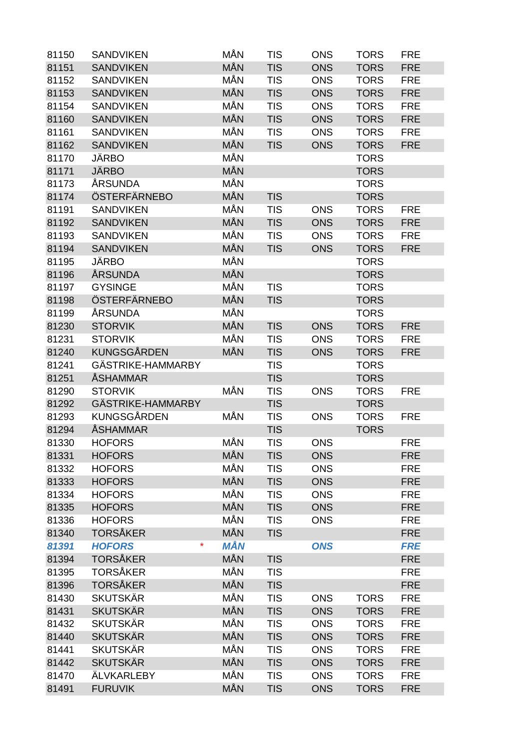| 81150 | <b>SANDVIKEN</b>         | MÅN        | <b>TIS</b> | <b>ONS</b> | <b>TORS</b> | <b>FRE</b> |
|-------|--------------------------|------------|------------|------------|-------------|------------|
| 81151 | <b>SANDVIKEN</b>         | <b>MÅN</b> | <b>TIS</b> | <b>ONS</b> | <b>TORS</b> | <b>FRE</b> |
| 81152 | <b>SANDVIKEN</b>         | MÅN        | <b>TIS</b> | <b>ONS</b> | <b>TORS</b> | <b>FRE</b> |
| 81153 | <b>SANDVIKEN</b>         | MÅN        | <b>TIS</b> | <b>ONS</b> | <b>TORS</b> | <b>FRE</b> |
| 81154 | <b>SANDVIKEN</b>         | MÅN        | <b>TIS</b> | <b>ONS</b> | <b>TORS</b> | <b>FRE</b> |
| 81160 | <b>SANDVIKEN</b>         | MÅN        | <b>TIS</b> | <b>ONS</b> | <b>TORS</b> | <b>FRE</b> |
| 81161 | <b>SANDVIKEN</b>         | MÅN        | <b>TIS</b> | <b>ONS</b> | <b>TORS</b> | <b>FRE</b> |
| 81162 | <b>SANDVIKEN</b>         | MÅN        | <b>TIS</b> | <b>ONS</b> | <b>TORS</b> | <b>FRE</b> |
| 81170 | <b>JÄRBO</b>             | MÅN        |            |            | <b>TORS</b> |            |
| 81171 | <b>JÄRBO</b>             | <b>MÅN</b> |            |            | <b>TORS</b> |            |
| 81173 | ÅRSUNDA                  | MÅN        |            |            | <b>TORS</b> |            |
| 81174 | ÖSTERFÄRNEBO             | MÅN        | <b>TIS</b> |            | <b>TORS</b> |            |
| 81191 | <b>SANDVIKEN</b>         | MÅN        | <b>TIS</b> | <b>ONS</b> | <b>TORS</b> | <b>FRE</b> |
| 81192 | <b>SANDVIKEN</b>         | MÅN        | <b>TIS</b> | <b>ONS</b> | <b>TORS</b> | <b>FRE</b> |
| 81193 | <b>SANDVIKEN</b>         | MÅN        | <b>TIS</b> | <b>ONS</b> | <b>TORS</b> | <b>FRE</b> |
| 81194 | <b>SANDVIKEN</b>         | MÅN        | <b>TIS</b> | <b>ONS</b> | <b>TORS</b> | <b>FRE</b> |
| 81195 | <b>JÄRBO</b>             | MÅN        |            |            | <b>TORS</b> |            |
| 81196 | ÅRSUNDA                  | MÅN        |            |            | <b>TORS</b> |            |
| 81197 | <b>GYSINGE</b>           | MÅN        | <b>TIS</b> |            | <b>TORS</b> |            |
| 81198 | ÖSTERFÄRNEBO             | MÅN        | <b>TIS</b> |            | <b>TORS</b> |            |
| 81199 | ÅRSUNDA                  | MÅN        |            |            | <b>TORS</b> |            |
| 81230 | <b>STORVIK</b>           | MÅN        | <b>TIS</b> | <b>ONS</b> | <b>TORS</b> | <b>FRE</b> |
| 81231 | <b>STORVIK</b>           | MÅN        | <b>TIS</b> | <b>ONS</b> | <b>TORS</b> | <b>FRE</b> |
| 81240 | <b>KUNGSGÅRDEN</b>       | MÅN        | <b>TIS</b> | <b>ONS</b> | <b>TORS</b> | <b>FRE</b> |
| 81241 | GÄSTRIKE-HAMMARBY        |            | <b>TIS</b> |            | <b>TORS</b> |            |
| 81251 | <b>ÅSHAMMAR</b>          |            | <b>TIS</b> |            | <b>TORS</b> |            |
| 81290 | <b>STORVIK</b>           | MÅN        | <b>TIS</b> | <b>ONS</b> | <b>TORS</b> | <b>FRE</b> |
| 81292 | GÄSTRIKE-HAMMARBY        |            | <b>TIS</b> |            | <b>TORS</b> |            |
| 81293 | KUNGSGÅRDEN              | MÅN        | <b>TIS</b> | <b>ONS</b> | <b>TORS</b> | <b>FRE</b> |
| 81294 | <b>ÅSHAMMAR</b>          |            | <b>TIS</b> |            | <b>TORS</b> |            |
| 81330 | <b>HOFORS</b>            | MÅN        | <b>TIS</b> | <b>ONS</b> |             | <b>FRE</b> |
| 81331 | <b>HOFORS</b>            | MÅN        | <b>TIS</b> | <b>ONS</b> |             | <b>FRE</b> |
| 81332 | <b>HOFORS</b>            | MÅN        | <b>TIS</b> | <b>ONS</b> |             | <b>FRE</b> |
| 81333 | <b>HOFORS</b>            | MÅN        | <b>TIS</b> | <b>ONS</b> |             | <b>FRE</b> |
| 81334 | <b>HOFORS</b>            | MÅN        | <b>TIS</b> | <b>ONS</b> |             | <b>FRE</b> |
| 81335 | <b>HOFORS</b>            | <b>MÅN</b> | <b>TIS</b> | <b>ONS</b> |             | <b>FRE</b> |
| 81336 | <b>HOFORS</b>            | MÅN        | <b>TIS</b> | <b>ONS</b> |             | <b>FRE</b> |
| 81340 | <b>TORSÅKER</b>          | MÅN        | <b>TIS</b> |            |             | <b>FRE</b> |
| 81391 | $\star$<br><b>HOFORS</b> | <b>MÅN</b> |            | <b>ONS</b> |             | <b>FRE</b> |
| 81394 | <b>TORSÅKER</b>          | MÅN        | <b>TIS</b> |            |             | <b>FRE</b> |
| 81395 | <b>TORSÅKER</b>          | MÅN        | <b>TIS</b> |            |             | <b>FRE</b> |
| 81396 | <b>TORSÅKER</b>          | MÅN        | <b>TIS</b> |            |             | <b>FRE</b> |
| 81430 | <b>SKUTSKÄR</b>          | MÅN        | <b>TIS</b> | <b>ONS</b> | <b>TORS</b> | <b>FRE</b> |
| 81431 | <b>SKUTSKÄR</b>          | MÅN        | <b>TIS</b> | <b>ONS</b> | <b>TORS</b> | <b>FRE</b> |
| 81432 | <b>SKUTSKÄR</b>          | MÅN        | <b>TIS</b> | <b>ONS</b> | <b>TORS</b> | <b>FRE</b> |
| 81440 | <b>SKUTSKÄR</b>          | MÅN        | <b>TIS</b> | <b>ONS</b> | <b>TORS</b> | <b>FRE</b> |
| 81441 | <b>SKUTSKÄR</b>          | MÅN        | <b>TIS</b> | <b>ONS</b> | <b>TORS</b> | <b>FRE</b> |
| 81442 | <b>SKUTSKÄR</b>          | MÅN        | <b>TIS</b> | <b>ONS</b> | <b>TORS</b> | <b>FRE</b> |
| 81470 | ÄLVKARLEBY               | MÅN        | <b>TIS</b> | <b>ONS</b> | <b>TORS</b> | <b>FRE</b> |
| 81491 | <b>FURUVIK</b>           | MÅN        | <b>TIS</b> | <b>ONS</b> | <b>TORS</b> | <b>FRE</b> |
|       |                          |            |            |            |             |            |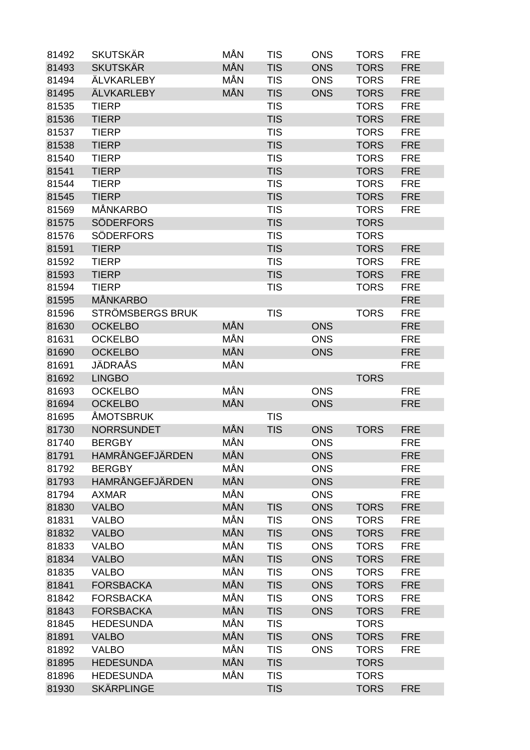| 81492 | <b>SKUTSKÄR</b>         | MÅN | <b>TIS</b> | <b>ONS</b> | <b>TORS</b> | <b>FRE</b> |
|-------|-------------------------|-----|------------|------------|-------------|------------|
| 81493 | <b>SKUTSKÄR</b>         | MÅN | <b>TIS</b> | <b>ONS</b> | <b>TORS</b> | <b>FRE</b> |
| 81494 | <b>ÄLVKARLEBY</b>       | MÅN | <b>TIS</b> | <b>ONS</b> | <b>TORS</b> | <b>FRE</b> |
| 81495 | <b>ÄLVKARLEBY</b>       | MÅN | <b>TIS</b> | <b>ONS</b> | <b>TORS</b> | <b>FRE</b> |
| 81535 | <b>TIERP</b>            |     | <b>TIS</b> |            | <b>TORS</b> | <b>FRE</b> |
| 81536 | <b>TIERP</b>            |     | <b>TIS</b> |            | <b>TORS</b> | <b>FRE</b> |
| 81537 | <b>TIERP</b>            |     | <b>TIS</b> |            | <b>TORS</b> | <b>FRE</b> |
| 81538 | <b>TIERP</b>            |     | <b>TIS</b> |            | <b>TORS</b> | <b>FRE</b> |
| 81540 | <b>TIERP</b>            |     | <b>TIS</b> |            | <b>TORS</b> | <b>FRE</b> |
| 81541 | <b>TIERP</b>            |     | <b>TIS</b> |            | <b>TORS</b> | <b>FRE</b> |
| 81544 | <b>TIERP</b>            |     | <b>TIS</b> |            | <b>TORS</b> | <b>FRE</b> |
| 81545 | <b>TIERP</b>            |     | <b>TIS</b> |            | <b>TORS</b> | <b>FRE</b> |
| 81569 | <b>MÅNKARBO</b>         |     | <b>TIS</b> |            | <b>TORS</b> | <b>FRE</b> |
| 81575 | <b>SÖDERFORS</b>        |     | <b>TIS</b> |            | <b>TORS</b> |            |
| 81576 | <b>SÖDERFORS</b>        |     | <b>TIS</b> |            | <b>TORS</b> |            |
| 81591 | <b>TIERP</b>            |     | <b>TIS</b> |            | <b>TORS</b> | <b>FRE</b> |
| 81592 | <b>TIERP</b>            |     | <b>TIS</b> |            | <b>TORS</b> | <b>FRE</b> |
| 81593 | <b>TIERP</b>            |     | <b>TIS</b> |            | <b>TORS</b> | <b>FRE</b> |
| 81594 | <b>TIERP</b>            |     | <b>TIS</b> |            | <b>TORS</b> | <b>FRE</b> |
| 81595 | <b>MÅNKARBO</b>         |     |            |            |             | <b>FRE</b> |
| 81596 | <b>STRÖMSBERGS BRUK</b> |     | <b>TIS</b> |            | <b>TORS</b> | <b>FRE</b> |
| 81630 | <b>OCKELBO</b>          | MÅN |            | <b>ONS</b> |             | <b>FRE</b> |
| 81631 | <b>OCKELBO</b>          | MÅN |            | <b>ONS</b> |             | <b>FRE</b> |
| 81690 | <b>OCKELBO</b>          | MÅN |            | <b>ONS</b> |             | <b>FRE</b> |
| 81691 | JÄDRAÅS                 | MÅN |            |            |             | <b>FRE</b> |
| 81692 | <b>LINGBO</b>           |     |            |            | <b>TORS</b> |            |
| 81693 | <b>OCKELBO</b>          | MÅN |            | <b>ONS</b> |             | <b>FRE</b> |
| 81694 | <b>OCKELBO</b>          | MÅN |            | <b>ONS</b> |             | <b>FRE</b> |
| 81695 | <b>ÅMOTSBRUK</b>        |     | <b>TIS</b> |            |             |            |
| 81730 | <b>NORRSUNDET</b>       | MÅN | <b>TIS</b> | <b>ONS</b> | <b>TORS</b> | <b>FRE</b> |
| 81740 | <b>BERGBY</b>           | MÅN |            | <b>ONS</b> |             | <b>FRE</b> |
| 81791 | HAMRÅNGEFJÄRDEN         | MÅN |            | <b>ONS</b> |             | <b>FRE</b> |
| 81792 | <b>BERGBY</b>           | MÅN |            | <b>ONS</b> |             | <b>FRE</b> |
| 81793 | HAMRÅNGEFJÄRDEN         | MÅN |            | <b>ONS</b> |             | <b>FRE</b> |
| 81794 | <b>AXMAR</b>            | MÅN |            | <b>ONS</b> |             | <b>FRE</b> |
| 81830 | <b>VALBO</b>            | MÅN | <b>TIS</b> | <b>ONS</b> | <b>TORS</b> | <b>FRE</b> |
| 81831 | <b>VALBO</b>            | MÅN | <b>TIS</b> | <b>ONS</b> | <b>TORS</b> | <b>FRE</b> |
| 81832 | <b>VALBO</b>            | MÅN | <b>TIS</b> | <b>ONS</b> | <b>TORS</b> | <b>FRE</b> |
| 81833 | <b>VALBO</b>            | MÅN | <b>TIS</b> | <b>ONS</b> | <b>TORS</b> | <b>FRE</b> |
| 81834 | <b>VALBO</b>            | MÅN | <b>TIS</b> | <b>ONS</b> | <b>TORS</b> | <b>FRE</b> |
| 81835 | <b>VALBO</b>            | MÅN | <b>TIS</b> | <b>ONS</b> | <b>TORS</b> | <b>FRE</b> |
| 81841 | <b>FORSBACKA</b>        | MÅN | <b>TIS</b> | <b>ONS</b> | <b>TORS</b> | <b>FRE</b> |
| 81842 | <b>FORSBACKA</b>        | MÅN | <b>TIS</b> | <b>ONS</b> | <b>TORS</b> | <b>FRE</b> |
| 81843 | <b>FORSBACKA</b>        | MÅN | <b>TIS</b> | <b>ONS</b> | <b>TORS</b> | <b>FRE</b> |
| 81845 | <b>HEDESUNDA</b>        | MÅN | <b>TIS</b> |            | <b>TORS</b> |            |
| 81891 | <b>VALBO</b>            | MÅN | <b>TIS</b> | <b>ONS</b> | <b>TORS</b> | <b>FRE</b> |
| 81892 | <b>VALBO</b>            | MÅN | <b>TIS</b> | <b>ONS</b> | <b>TORS</b> | <b>FRE</b> |
| 81895 | <b>HEDESUNDA</b>        | MÅN | <b>TIS</b> |            | <b>TORS</b> |            |
| 81896 | <b>HEDESUNDA</b>        | MÅN | <b>TIS</b> |            | <b>TORS</b> |            |
| 81930 | <b>SKÄRPLINGE</b>       |     | <b>TIS</b> |            | <b>TORS</b> | <b>FRE</b> |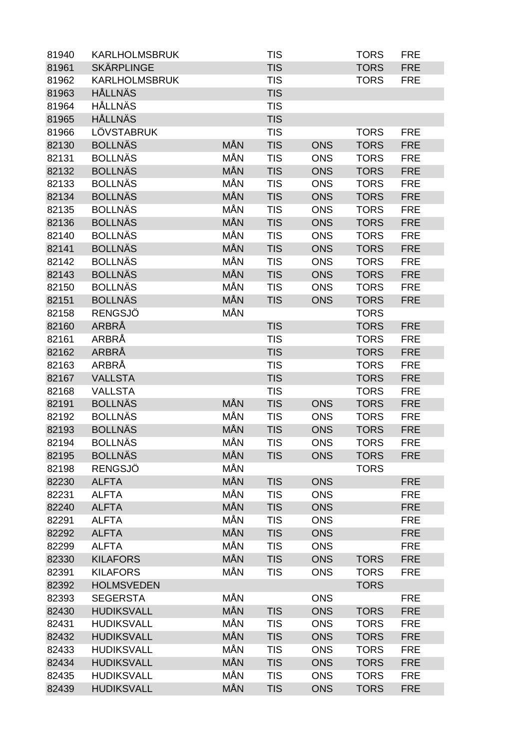| 81940 | <b>KARLHOLMSBRUK</b> |            | <b>TIS</b> |            | <b>TORS</b> | <b>FRE</b> |
|-------|----------------------|------------|------------|------------|-------------|------------|
| 81961 | <b>SKÄRPLINGE</b>    |            | <b>TIS</b> |            | <b>TORS</b> | <b>FRE</b> |
| 81962 | <b>KARLHOLMSBRUK</b> |            | <b>TIS</b> |            | <b>TORS</b> | <b>FRE</b> |
| 81963 | <b>HÅLLNÄS</b>       |            | <b>TIS</b> |            |             |            |
| 81964 | HÅLLNÄS              |            | <b>TIS</b> |            |             |            |
| 81965 | <b>HÅLLNÄS</b>       |            | <b>TIS</b> |            |             |            |
| 81966 | LÖVSTABRUK           |            | <b>TIS</b> |            | <b>TORS</b> | <b>FRE</b> |
| 82130 | <b>BOLLNÄS</b>       | <b>MÅN</b> | <b>TIS</b> | <b>ONS</b> | <b>TORS</b> | <b>FRE</b> |
| 82131 | <b>BOLLNÄS</b>       | MÅN        | <b>TIS</b> | <b>ONS</b> | <b>TORS</b> | <b>FRE</b> |
| 82132 | <b>BOLLNÄS</b>       | <b>MÅN</b> | <b>TIS</b> | <b>ONS</b> | <b>TORS</b> | <b>FRE</b> |
| 82133 | <b>BOLLNÄS</b>       | MÅN        | <b>TIS</b> | <b>ONS</b> | <b>TORS</b> | <b>FRE</b> |
| 82134 | <b>BOLLNÄS</b>       | MÅN        | <b>TIS</b> | <b>ONS</b> | <b>TORS</b> | <b>FRE</b> |
| 82135 | <b>BOLLNÄS</b>       | MÅN        | <b>TIS</b> | <b>ONS</b> | <b>TORS</b> | <b>FRE</b> |
| 82136 | <b>BOLLNÄS</b>       | MÅN        | <b>TIS</b> | <b>ONS</b> | <b>TORS</b> | <b>FRE</b> |
| 82140 | <b>BOLLNÄS</b>       | MÅN        | <b>TIS</b> | <b>ONS</b> | <b>TORS</b> | <b>FRE</b> |
| 82141 | <b>BOLLNÄS</b>       | MÅN        | <b>TIS</b> | <b>ONS</b> | <b>TORS</b> | <b>FRE</b> |
| 82142 | <b>BOLLNÄS</b>       | MÅN        | <b>TIS</b> | <b>ONS</b> | <b>TORS</b> | <b>FRE</b> |
| 82143 | <b>BOLLNÄS</b>       | MÅN        | <b>TIS</b> | <b>ONS</b> | <b>TORS</b> | <b>FRE</b> |
| 82150 | <b>BOLLNÄS</b>       | MÅN        | <b>TIS</b> | <b>ONS</b> | <b>TORS</b> | <b>FRE</b> |
| 82151 | <b>BOLLNÄS</b>       | MÅN        | <b>TIS</b> | <b>ONS</b> | <b>TORS</b> | <b>FRE</b> |
| 82158 | <b>RENGSJÖ</b>       | MÅN        |            |            | <b>TORS</b> |            |
| 82160 | ARBRÅ                |            | <b>TIS</b> |            | <b>TORS</b> | <b>FRE</b> |
| 82161 | ARBRÅ                |            | <b>TIS</b> |            | <b>TORS</b> | <b>FRE</b> |
| 82162 | ARBRÅ                |            | <b>TIS</b> |            | <b>TORS</b> | <b>FRE</b> |
| 82163 | ARBRÅ                |            | <b>TIS</b> |            | <b>TORS</b> | <b>FRE</b> |
| 82167 | <b>VALLSTA</b>       |            | <b>TIS</b> |            | <b>TORS</b> | <b>FRE</b> |
| 82168 | <b>VALLSTA</b>       |            | <b>TIS</b> |            | <b>TORS</b> | <b>FRE</b> |
| 82191 | <b>BOLLNÄS</b>       | MÅN        | <b>TIS</b> | <b>ONS</b> | <b>TORS</b> | <b>FRE</b> |
| 82192 | <b>BOLLNÄS</b>       | MÅN        | <b>TIS</b> | <b>ONS</b> | <b>TORS</b> | <b>FRE</b> |
| 82193 | <b>BOLLNÄS</b>       | <b>MÅN</b> | <b>TIS</b> | <b>ONS</b> | <b>TORS</b> | <b>FRE</b> |
| 82194 | <b>BOLLNÄS</b>       | MÅN        | <b>TIS</b> | <b>ONS</b> | <b>TORS</b> | <b>FRE</b> |
| 82195 | <b>BOLLNÄS</b>       | MÅN        | <b>TIS</b> | <b>ONS</b> | <b>TORS</b> | <b>FRE</b> |
| 82198 | <b>RENGSJÖ</b>       | MÅN        |            |            | <b>TORS</b> |            |
| 82230 | <b>ALFTA</b>         | MÅN        | <b>TIS</b> | <b>ONS</b> |             | <b>FRE</b> |
| 82231 | <b>ALFTA</b>         | MÅN        | <b>TIS</b> | <b>ONS</b> |             | <b>FRE</b> |
| 82240 | <b>ALFTA</b>         | MÅN        | <b>TIS</b> | <b>ONS</b> |             | <b>FRE</b> |
| 82291 | <b>ALFTA</b>         | MÅN        | <b>TIS</b> | <b>ONS</b> |             | <b>FRE</b> |
| 82292 | <b>ALFTA</b>         | MÅN        | <b>TIS</b> | <b>ONS</b> |             | <b>FRE</b> |
| 82299 | <b>ALFTA</b>         | MÅN        | <b>TIS</b> | <b>ONS</b> |             | <b>FRE</b> |
| 82330 | <b>KILAFORS</b>      | MÅN        | <b>TIS</b> | <b>ONS</b> | <b>TORS</b> | <b>FRE</b> |
| 82391 | <b>KILAFORS</b>      | MÅN        | <b>TIS</b> | <b>ONS</b> | <b>TORS</b> | <b>FRE</b> |
| 82392 | <b>HOLMSVEDEN</b>    |            |            |            | <b>TORS</b> |            |
| 82393 | <b>SEGERSTA</b>      | MÅN        |            | <b>ONS</b> |             | <b>FRE</b> |
| 82430 | <b>HUDIKSVALL</b>    | MÅN        | <b>TIS</b> | <b>ONS</b> | <b>TORS</b> | <b>FRE</b> |
| 82431 | <b>HUDIKSVALL</b>    | MÅN        | <b>TIS</b> | <b>ONS</b> |             | <b>FRE</b> |
|       |                      |            |            |            | <b>TORS</b> |            |
| 82432 | <b>HUDIKSVALL</b>    | MÅN<br>MÅN | <b>TIS</b> | <b>ONS</b> | <b>TORS</b> | <b>FRE</b> |
| 82433 | <b>HUDIKSVALL</b>    | MÅN        | <b>TIS</b> | <b>ONS</b> | <b>TORS</b> | <b>FRE</b> |
| 82434 | <b>HUDIKSVALL</b>    |            | <b>TIS</b> | <b>ONS</b> | <b>TORS</b> | <b>FRE</b> |
| 82435 | <b>HUDIKSVALL</b>    | MÅN        | <b>TIS</b> | <b>ONS</b> | <b>TORS</b> | <b>FRE</b> |
| 82439 | <b>HUDIKSVALL</b>    | MÅN        | <b>TIS</b> | <b>ONS</b> | <b>TORS</b> | <b>FRE</b> |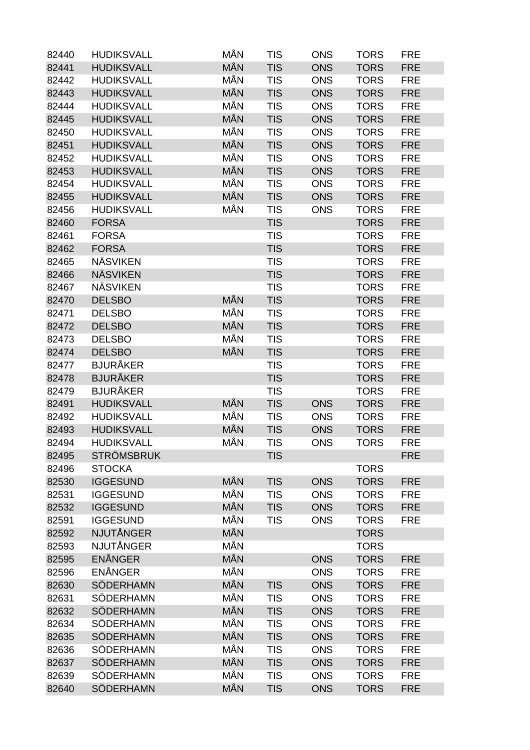| 82440 | <b>HUDIKSVALL</b>             | MÅN        | <b>TIS</b> | <b>ONS</b> | <b>TORS</b> | <b>FRE</b> |
|-------|-------------------------------|------------|------------|------------|-------------|------------|
| 82441 | <b>HUDIKSVALL</b>             | MÅN        | <b>TIS</b> | <b>ONS</b> | <b>TORS</b> | <b>FRE</b> |
| 82442 | <b>HUDIKSVALL</b>             | MÅN        | <b>TIS</b> | <b>ONS</b> | <b>TORS</b> | <b>FRE</b> |
| 82443 | <b>HUDIKSVALL</b>             | MÅN        | <b>TIS</b> | <b>ONS</b> | <b>TORS</b> | <b>FRE</b> |
| 82444 | <b>HUDIKSVALL</b>             | MÅN        | <b>TIS</b> | <b>ONS</b> | <b>TORS</b> | <b>FRE</b> |
| 82445 | <b>HUDIKSVALL</b>             | MÅN        | <b>TIS</b> | <b>ONS</b> | <b>TORS</b> | <b>FRE</b> |
| 82450 | <b>HUDIKSVALL</b>             | MÅN        | <b>TIS</b> | <b>ONS</b> | <b>TORS</b> | <b>FRE</b> |
| 82451 | <b>HUDIKSVALL</b>             | MÅN        | <b>TIS</b> | <b>ONS</b> | <b>TORS</b> | <b>FRE</b> |
| 82452 | <b>HUDIKSVALL</b>             | MÅN        | <b>TIS</b> | <b>ONS</b> | <b>TORS</b> | <b>FRE</b> |
| 82453 | <b>HUDIKSVALL</b>             | MÅN        | <b>TIS</b> | <b>ONS</b> | <b>TORS</b> | <b>FRE</b> |
| 82454 | <b>HUDIKSVALL</b>             | MÅN        | <b>TIS</b> | <b>ONS</b> | <b>TORS</b> | <b>FRE</b> |
| 82455 | <b>HUDIKSVALL</b>             | MÅN        | <b>TIS</b> | <b>ONS</b> | <b>TORS</b> | <b>FRE</b> |
| 82456 | <b>HUDIKSVALL</b>             | MÅN        | <b>TIS</b> | <b>ONS</b> | <b>TORS</b> | <b>FRE</b> |
| 82460 | <b>FORSA</b>                  |            | <b>TIS</b> |            | <b>TORS</b> | <b>FRE</b> |
| 82461 | <b>FORSA</b>                  |            | <b>TIS</b> |            | <b>TORS</b> | <b>FRE</b> |
| 82462 | <b>FORSA</b>                  |            | <b>TIS</b> |            | <b>TORS</b> | <b>FRE</b> |
| 82465 | <b>NÄSVIKEN</b>               |            | <b>TIS</b> |            | <b>TORS</b> | <b>FRE</b> |
| 82466 | <b>NÄSVIKEN</b>               |            | <b>TIS</b> |            | <b>TORS</b> | <b>FRE</b> |
| 82467 | <b>NÄSVIKEN</b>               |            | <b>TIS</b> |            | <b>TORS</b> | <b>FRE</b> |
| 82470 | <b>DELSBO</b>                 | MÅN        | <b>TIS</b> |            | <b>TORS</b> | <b>FRE</b> |
| 82471 | <b>DELSBO</b>                 | MÅN        | <b>TIS</b> |            | <b>TORS</b> | <b>FRE</b> |
| 82472 | <b>DELSBO</b>                 | MÅN        | <b>TIS</b> |            | <b>TORS</b> | <b>FRE</b> |
| 82473 | <b>DELSBO</b>                 | MÅN        | <b>TIS</b> |            | <b>TORS</b> | <b>FRE</b> |
| 82474 | <b>DELSBO</b>                 | MÅN        | <b>TIS</b> |            | <b>TORS</b> | <b>FRE</b> |
| 82477 | <b>BJURÅKER</b>               |            | <b>TIS</b> |            | <b>TORS</b> | <b>FRE</b> |
| 82478 | <b>BJURÅKER</b>               |            | <b>TIS</b> |            | <b>TORS</b> | <b>FRE</b> |
| 82479 | <b>BJURÅKER</b>               |            | <b>TIS</b> |            | <b>TORS</b> | <b>FRE</b> |
| 82491 | <b>HUDIKSVALL</b>             | MÅN        | <b>TIS</b> | <b>ONS</b> | <b>TORS</b> | <b>FRE</b> |
| 82492 | <b>HUDIKSVALL</b>             | MÅN        | <b>TIS</b> | <b>ONS</b> | <b>TORS</b> | <b>FRE</b> |
| 82493 | <b>HUDIKSVALL</b>             | MÅN        | <b>TIS</b> | <b>ONS</b> | <b>TORS</b> | <b>FRE</b> |
| 82494 | <b>HUDIKSVALL</b>             | <b>MÅN</b> | TIS        | <b>ONS</b> | TORS        | <b>FRE</b> |
| 82495 | <b>STRÖMSBRUK</b>             |            | <b>TIS</b> |            |             | <b>FRE</b> |
| 82496 | <b>STOCKA</b>                 |            |            |            | <b>TORS</b> |            |
| 82530 | <b>IGGESUND</b>               | MÅN        | <b>TIS</b> | <b>ONS</b> | <b>TORS</b> | <b>FRE</b> |
| 82531 | <b>IGGESUND</b>               | MÅN        | <b>TIS</b> | <b>ONS</b> | <b>TORS</b> | <b>FRE</b> |
| 82532 | <b>IGGESUND</b>               | MÅN        | <b>TIS</b> | <b>ONS</b> | <b>TORS</b> | <b>FRE</b> |
| 82591 | <b>IGGESUND</b>               | MÅN        | <b>TIS</b> | <b>ONS</b> | <b>TORS</b> | <b>FRE</b> |
| 82592 | NJUTÅNGER                     | MÅN        |            |            | <b>TORS</b> |            |
| 82593 | <b>NJUTÅNGER</b>              | MÅN        |            |            | <b>TORS</b> |            |
| 82595 | <b>ENÅNGER</b>                | MÅN        |            | <b>ONS</b> | <b>TORS</b> | <b>FRE</b> |
| 82596 | ENÅNGER                       | MÅN        |            | <b>ONS</b> | <b>TORS</b> | <b>FRE</b> |
|       | SÖDERHAMN                     | MÅN        |            |            |             |            |
| 82630 |                               |            | <b>TIS</b> | <b>ONS</b> | <b>TORS</b> | <b>FRE</b> |
| 82631 | SÖDERHAMN<br><b>SÖDERHAMN</b> | MÅN<br>MÅN | <b>TIS</b> | <b>ONS</b> | <b>TORS</b> | <b>FRE</b> |
| 82632 |                               |            | <b>TIS</b> | <b>ONS</b> | <b>TORS</b> | <b>FRE</b> |
| 82634 | SÖDERHAMN                     | MÅN        | <b>TIS</b> | <b>ONS</b> | <b>TORS</b> | <b>FRE</b> |
| 82635 | <b>SÖDERHAMN</b>              | MÅN        | <b>TIS</b> | <b>ONS</b> | <b>TORS</b> | <b>FRE</b> |
| 82636 | SÖDERHAMN                     | MÅN        | <b>TIS</b> | <b>ONS</b> | <b>TORS</b> | <b>FRE</b> |
| 82637 | SÖDERHAMN                     | MÅN        | <b>TIS</b> | <b>ONS</b> | <b>TORS</b> | <b>FRE</b> |
| 82639 | SÖDERHAMN                     | MÅN        | <b>TIS</b> | <b>ONS</b> | <b>TORS</b> | <b>FRE</b> |
| 82640 | SÖDERHAMN                     | MÅN        | <b>TIS</b> | <b>ONS</b> | <b>TORS</b> | <b>FRE</b> |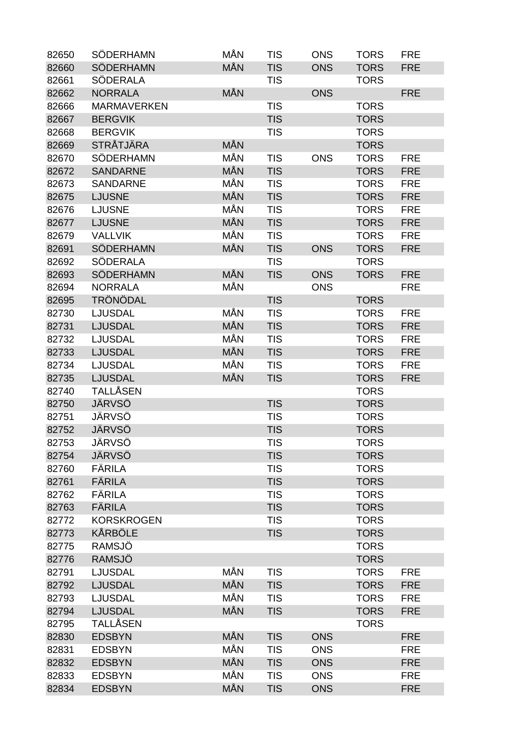| 82650 | SÖDERHAMN          | MÅN | <b>TIS</b> | <b>ONS</b> | <b>TORS</b> | <b>FRE</b> |
|-------|--------------------|-----|------------|------------|-------------|------------|
| 82660 | <b>SÖDERHAMN</b>   | MÅN | <b>TIS</b> | <b>ONS</b> | <b>TORS</b> | <b>FRE</b> |
| 82661 | <b>SÖDERALA</b>    |     | <b>TIS</b> |            | <b>TORS</b> |            |
| 82662 | <b>NORRALA</b>     | MÅN |            | <b>ONS</b> |             | <b>FRE</b> |
| 82666 | <b>MARMAVERKEN</b> |     | <b>TIS</b> |            | <b>TORS</b> |            |
| 82667 | <b>BERGVIK</b>     |     | <b>TIS</b> |            | <b>TORS</b> |            |
| 82668 | <b>BERGVIK</b>     |     | <b>TIS</b> |            | <b>TORS</b> |            |
| 82669 | <b>STRÅTJÄRA</b>   | MÅN |            |            | <b>TORS</b> |            |
| 82670 | <b>SÖDERHAMN</b>   | MÅN | <b>TIS</b> | <b>ONS</b> | <b>TORS</b> | <b>FRE</b> |
| 82672 | <b>SANDARNE</b>    | MÅN | <b>TIS</b> |            | <b>TORS</b> | <b>FRE</b> |
| 82673 | <b>SANDARNE</b>    | MÅN | <b>TIS</b> |            | <b>TORS</b> | <b>FRE</b> |
| 82675 | <b>LJUSNE</b>      | MÅN | <b>TIS</b> |            | <b>TORS</b> | <b>FRE</b> |
| 82676 | <b>LJUSNE</b>      | MÅN | <b>TIS</b> |            | <b>TORS</b> | <b>FRE</b> |
| 82677 | <b>LJUSNE</b>      | MÅN | <b>TIS</b> |            | <b>TORS</b> | <b>FRE</b> |
| 82679 | <b>VALLVIK</b>     | MÅN | <b>TIS</b> |            | <b>TORS</b> | <b>FRE</b> |
| 82691 | <b>SÖDERHAMN</b>   | MÅN | <b>TIS</b> | <b>ONS</b> | <b>TORS</b> | <b>FRE</b> |
| 82692 | SÖDERALA           |     | <b>TIS</b> |            | <b>TORS</b> |            |
| 82693 | <b>SÖDERHAMN</b>   | MÅN | <b>TIS</b> | <b>ONS</b> | <b>TORS</b> | <b>FRE</b> |
| 82694 | <b>NORRALA</b>     | MÅN |            | <b>ONS</b> |             | <b>FRE</b> |
| 82695 | <b>TRÖNÖDAL</b>    |     | <b>TIS</b> |            | <b>TORS</b> |            |
| 82730 | <b>LJUSDAL</b>     | MÅN | <b>TIS</b> |            | <b>TORS</b> | <b>FRE</b> |
| 82731 | <b>LJUSDAL</b>     | MÅN | <b>TIS</b> |            | <b>TORS</b> | <b>FRE</b> |
| 82732 | <b>LJUSDAL</b>     | MÅN | <b>TIS</b> |            | <b>TORS</b> | <b>FRE</b> |
| 82733 | <b>LJUSDAL</b>     | MÅN | <b>TIS</b> |            | <b>TORS</b> | <b>FRE</b> |
| 82734 | <b>LJUSDAL</b>     | MÅN | <b>TIS</b> |            | <b>TORS</b> | <b>FRE</b> |
| 82735 | <b>LJUSDAL</b>     | MÅN | <b>TIS</b> |            | <b>TORS</b> | <b>FRE</b> |
| 82740 | <b>TALLÅSEN</b>    |     |            |            | <b>TORS</b> |            |
| 82750 | JÄRVSÖ             |     | <b>TIS</b> |            | <b>TORS</b> |            |
| 82751 | JÄRVSÖ             |     | <b>TIS</b> |            | <b>TORS</b> |            |
| 82752 | JÄRVSÖ             |     | <b>TIS</b> |            | <b>TORS</b> |            |
| 82753 | JÄRVSÖ             |     | <b>TIS</b> |            | <b>TORS</b> |            |
| 82754 | JÄRVSÖ             |     | <b>TIS</b> |            | <b>TORS</b> |            |
| 82760 | FÄRILA             |     | <b>TIS</b> |            | <b>TORS</b> |            |
| 82761 | FÄRILA             |     | <b>TIS</b> |            | <b>TORS</b> |            |
| 82762 | FÄRILA             |     | <b>TIS</b> |            | <b>TORS</b> |            |
| 82763 | <b>FÄRILA</b>      |     | <b>TIS</b> |            | <b>TORS</b> |            |
| 82772 | <b>KORSKROGEN</b>  |     | <b>TIS</b> |            | <b>TORS</b> |            |
| 82773 | KÅRBÖLE            |     | <b>TIS</b> |            | <b>TORS</b> |            |
| 82775 | RAMSJÖ             |     |            |            | <b>TORS</b> |            |
| 82776 | RAMSJÖ             |     |            |            | <b>TORS</b> |            |
| 82791 | <b>LJUSDAL</b>     | MÅN | <b>TIS</b> |            | <b>TORS</b> | <b>FRE</b> |
| 82792 | <b>LJUSDAL</b>     | MÅN | <b>TIS</b> |            | <b>TORS</b> | <b>FRE</b> |
| 82793 | <b>LJUSDAL</b>     | MÅN | <b>TIS</b> |            | <b>TORS</b> | <b>FRE</b> |
| 82794 | <b>LJUSDAL</b>     | MÅN | <b>TIS</b> |            | <b>TORS</b> | <b>FRE</b> |
| 82795 | TALLÅSEN           |     |            |            | <b>TORS</b> |            |
| 82830 | <b>EDSBYN</b>      | MÅN | <b>TIS</b> | <b>ONS</b> |             | <b>FRE</b> |
| 82831 | <b>EDSBYN</b>      | MÅN | <b>TIS</b> | <b>ONS</b> |             | <b>FRE</b> |
| 82832 | <b>EDSBYN</b>      | MÅN | <b>TIS</b> | <b>ONS</b> |             | <b>FRE</b> |
| 82833 | <b>EDSBYN</b>      | MÅN | <b>TIS</b> | <b>ONS</b> |             | <b>FRE</b> |
| 82834 | <b>EDSBYN</b>      | MÅN | <b>TIS</b> | <b>ONS</b> |             | <b>FRE</b> |
|       |                    |     |            |            |             |            |